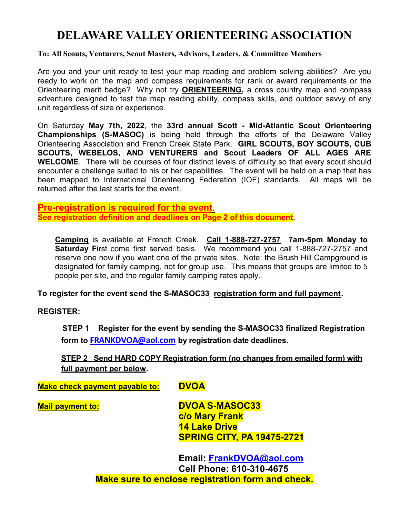# DELAWARE VALLEY ORIENTEERING ASSOCIATION

### To: All Scouts, Venturers, Scout Masters, Advisors, Leaders, & Committee Members

Are you and your unit ready to test your map reading and problem solving abilities? Are you ready to work on the map and compass requirements for rank or award requirements or the Orienteering merit badge? Why not try ORIENTEERING, a cross country map and compass adventure designed to test the map reading ability, compass skills, and outdoor savvy of any unit regardless of size or experience.

On Saturday May 7th, 2022, the 33rd annual Scott - Mid-Atlantic Scout Orienteering Championships (S-MASOC) is being held through the efforts of the Delaware Valley Orienteering Association and French Creek State Park. GIRL SCOUTS, BOY SCOUTS, CUB SCOUTS, WEBELOS, AND VENTURERS and Scout Leaders OF ALL AGES ARE WELCOME. There will be courses of four distinct levels of difficulty so that every scout should encounter a challenge suited to his or her capabilities. The event will be held on a map that has been mapped to International Orienteering Federation (IOF) standards. All maps will be returned after the last starts for the event.

## Pre-registration is required for the event. See registration definition and deadlines on Page 2 of this document.

Camping is available at French Creek. Call 1-888-727-2757 7am-5pm Monday to Saturday First come first served basis. We recommend you call 1-888-727-2757 and reserve one now if you want one of the private sites. Note: the Brush Hill Campground is designated for family camping, not for group use. This means that groups are limited to 5 people per site, and the regular family camping rates apply.

### To register for the event send the S-MASOC33 registration form and full payment.

REGISTER:

 STEP 1 Register for the event by sending the S-MASOC33 finalized Registration form to **FRANKDVOA@aol.com** by registration date deadlines.

## STEP 2 Send HARD COPY Registration form (no changes from emailed form) with full payment per below.

Make check payment payable to: DVOA

Mail payment to: DVOA S-MASOC33 c/o Mary Frank 14 Lake Drive SPRING CITY, PA 19475-2721

> Email: FrankDVOA@aol.com Cell Phone: 610-310-4675 Make sure to enclose registration form and check.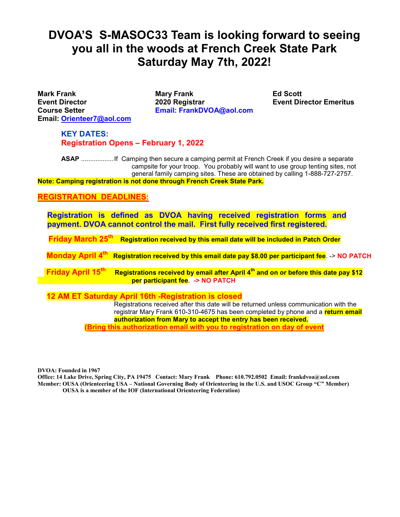# DVOA'S S-MASOC33 Team is looking forward to seeing you all in the woods at French Creek State Park Saturday May 7th, 2022!

Email: Orienteer7@aol.com

Mark Frank Mary Frank Ed Scott Event Director 2020 Registrar Event Director Emeritus Course Setter **Email: FrankDVOA@aol.com** 

KEY DATES: Registration Opens – February 1, 2022

ASAP .................... If Camping then secure a camping permit at French Creek if you desire a separate campsite for your troop. You probably will want to use group tenting sites, not general family camping sites. These are obtained by calling 1-888-727-2757. Note: Camping registration is not done through French Creek State Park.

### REGISTRATION DEADLINES:

Registration is defined as DVOA having received registration forms and payment. DVOA cannot control the mail. First fully received first registered.

Friday March 25<sup>th</sup> Registration received by this email date will be included in Patch Order

Monday April  $4^{\text{th}}$  Registration received by this email date pay \$8.00 per participant fee. -> NO PATCH

Friday April 15<sup>th</sup> Registrations received by email after April  $4<sup>th</sup>$  and on or before this date pay \$12 per participant fee. - > NO PATCH

12 AM ET Saturday April 16th -Registration is closed

 Registrations received after this date will be returned unless communication with the registrar Mary Frank 610-310-4675 has been completed by phone and a return email authorization from Mary to accept the entry has been received. (Bring this authorization email with you to registration on day of event

DVOA: Founded in 1967

Office: 14 Lake Drive, Spring City, PA 19475 Contact: Mary Frank Phone: 610.792.0502 Email: frankdvoa@aol.com Member: OUSA (Orienteering USA – National Governing Body of Orienteering in the U.S. and USOC Group "C" Member) OUSA is a member of the IOF (International Orienteering Federation)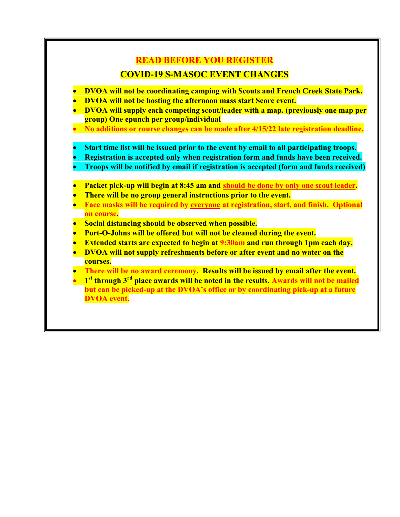## READ BEFORE YOU REGISTER

## COVID-19 S-MASOC EVENT CHANGES

- DVOA will not be coordinating camping with Scouts and French Creek State Park.
- DVOA will not be hosting the afternoon mass start Score event.
- DVOA will supply each competing scout/leader with a map. (previously one map per group) One epunch per group/individual
- No additions or course changes can be made after 4/15/22 late registration deadline.
- Start time list will be issued prior to the event by email to all participating troops.
- Registration is accepted only when registration form and funds have been received.
- Troops will be notified by email if registration is accepted (form and funds received)
- Packet pick-up will begin at 8:45 am and should be done by only one scout leader.
- There will be no group general instructions prior to the event.
- Face masks will be required by everyone at registration, start, and finish. Optional on course.
- Social distancing should be observed when possible.
- Port-O-Johns will be offered but will not be cleaned during the event.
- Extended starts are expected to begin at 9:30am and run through 1pm each day.
- DVOA will not supply refreshments before or after event and no water on the courses.
- There will be no award ceremony. Results will be issued by email after the event.
- $\bullet$  1<sup>st</sup> through 3<sup>rd</sup> place awards will be noted in the results. Awards will not be mailed but can be picked-up at the DVOA's office or by coordinating pick-up at a future DVOA event.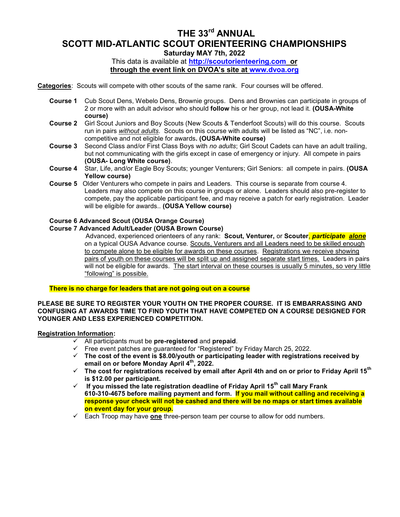# THE 33<sup>rd</sup> ANNUAL SCOTT MID-ATLANTIC SCOUT ORIENTEERING CHAMPIONSHIPS

Saturday MAY 7th, 2022

This data is available at http://scoutorienteering.com or through the event link on DVOA's site at www.dvoa.org

Categories: Scouts will compete with other scouts of the same rank. Four courses will be offered.

- Course 1 Cub Scout Dens, Webelo Dens, Brownie groups. Dens and Brownies can participate in groups of 2 or more with an adult advisor who should follow his or her group, not lead it. (OUSA-White course)
- Course 2 Girl Scout Juniors and Boy Scouts (New Scouts & Tenderfoot Scouts) will do this course. Scouts run in pairs without adults. Scouts on this course with adults will be listed as "NC", i.e. noncompetitive and not eligible for awards. (OUSA-White course)
- Course 3 Second Class and/or First Class Boys with no adults; Girl Scout Cadets can have an adult trailing, but not communicating with the girls except in case of emergency or injury. All compete in pairs (OUSA- Long White course).
- Course 4 Star, Life, and/or Eagle Boy Scouts; younger Venturers; Girl Seniors: all compete in pairs. (OUSA Yellow course)
- Course 5 Older Venturers who compete in pairs and Leaders. This course is separate from course 4. Leaders may also compete on this course in groups or alone. Leaders should also pre-register to compete, pay the applicable participant fee, and may receive a patch for early registration. Leader will be eligible for awards.. (OUSA Yellow course)

### Course 6 Advanced Scout (OUSA Orange Course)

#### Course 7 Advanced Adult/Leader (OUSA Brown Course)

Advanced, experienced orienteers of any rank: Scout, Venturer, or Scouter<mark>, participate alone</mark> on a typical OUSA Advance course. Scouts, Venturers and all Leaders need to be skilled enough to compete alone to be eligible for awards on these courses. Registrations we receive showing pairs of youth on these courses will be split up and assigned separate start times. Leaders in pairs will not be eligible for awards. The start interval on these courses is usually 5 minutes, so very little "following" is possible.

### There is no charge for leaders that are not going out on a course

#### PLEASE BE SURE TO REGISTER YOUR YOUTH ON THE PROPER COURSE. IT IS EMBARRASSING AND CONFUSING AT AWARDS TIME TO FIND YOUTH THAT HAVE COMPETED ON A COURSE DESIGNED FOR YOUNGER AND LESS EXPERIENCED COMPETITION.

#### Registration Information:

- $\checkmark$  All participants must be pre-registered and prepaid.
- $\checkmark$  Free event patches are guaranteed for "Registered" by Friday March 25, 2022.
- $\checkmark$  The cost of the event is \$8.00/youth or participating leader with registrations received by email on or before Monday April 4<sup>th</sup>, 2022.
- $\checkmark$  The cost for registrations received by email after April 4th and on or prior to Friday April 15<sup>th</sup> is \$12.00 per participant.
- $\checkmark$  If you missed the late registration deadline of Friday April 15<sup>th</sup> call Mary Frank 610-310-4675 before mailing payment and form. If you mail without calling and receiving a response your check will not be cashed and there will be no maps or start times available on event day for your group.
- $\checkmark$  Each Troop may have one three-person team per course to allow for odd numbers.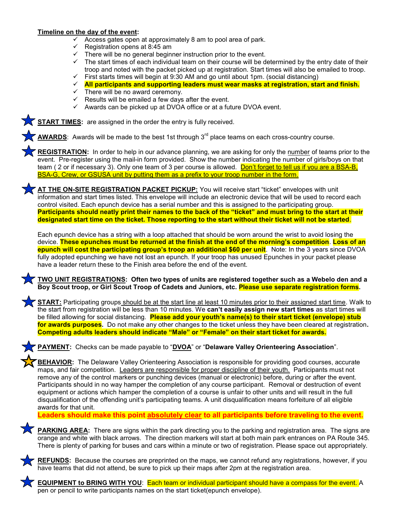### Timeline on the day of the event:

- $\checkmark$  Access gates open at approximately 8 am to pool area of park.
- $\checkmark$  Registration opens at 8:45 am
- $\checkmark$  There will be no general beginner instruction prior to the event.
- $\checkmark$  The start times of each individual team on their course will be determined by the entry date of their troop and noted with the packet picked up at registration. Start times will also be emailed to troop.
- $\checkmark$  First starts times will begin at 9:30 AM and go until about 1pm. (social distancing)
- $\checkmark$  All participants and supporting leaders must wear masks at registration, start and finish.
- $\checkmark$  There will be no award ceremony.
- $\checkmark$  Results will be emailed a few days after the event.
- $\checkmark$  Awards can be picked up at DVOA office or at a future DVOA event.

**START TIMES:** are assigned in the order the entry is fully received.

**AWARDS:** Awards will be made to the best 1st through  $3<sup>rd</sup>$  place teams on each cross-country course.

REGISTRATION: In order to help in our advance planning, we are asking for only the number of teams prior to the event. Pre-register using the mail-in form provided. Show the number indicating the number of girls/boys on that team ( 2 or if necessary 3). Only one team of 3 per course is allowed. Don't forget to tell us if you are a BSA-B, BSA-G, Crew, or GSUSA unit by putting them as a prefix to your troop number in the form.

**AT THE ON-SITE REGISTRATION PACKET PICKUP:** You will receive start "ticket" envelopes with unit information and start times listed. This envelope will include an electronic device that will be used to record each control visited. Each epunch device has a serial number and this is assigned to the participating group. Participants should neatly print their names to the back of the "ticket" and must bring to the start at their designated start time on the ticket. Those reporting to the start without their ticket will not be started.

Each epunch device has a string with a loop attached that should be worn around the wrist to avoid losing the device. These epunches must be returned at the finish at the end of the morning's competition. Loss of an epunch will cost the participating group's troop an additional \$60 per unit. Note: In the 3 years since DVOA fully adopted epunching we have not lost an epunch. If your troop has unused Epunches in your packet please have a leader return these to the Finish area before the end of the event.

### TWO UNIT REGISTRATIONS: Often two types of units are registered together such as a Webelo den and a Boy Scout troop, or Girl Scout Troop of Cadets and Juniors, etc. Please use separate registration forms.

START: Participating groups should be at the start line at least 10 minutes prior to their assigned start time. Walk to the start from registration will be less than 10 minutes. We can't easily assign new start times as start times will be filled allowing for social distancing. Please add your youth's name(s) to their start ticket (envelope) stub for awards purposes. Do not make any other changes to the ticket unless they have been cleared at registration. Competing adults leaders should indicate "Male" or "Female" on their start ticket for awards.

PAYMENT: Checks can be made payable to "DVOA" or "Delaware Valley Orienteering Association".

**BEHAVIOR:** The Delaware Valley Orienteering Association is responsible for providing good courses, accurate maps, and fair competition. Leaders are responsible for proper discipline of their youth. Participants must not remove any of the control markers or punching devices (manual or electronic) before, during or after the event. Participants should in no way hamper the completion of any course participant. Removal or destruction of event equipment or actions which hamper the completion of a course is unfair to other units and will result in the full disqualification of the offending unit's participating teams. A unit disqualification means forfeiture of all eligible awards for that unit.

Leaders should make this point absolutely clear to all participants before traveling to the event.

PARKING AREA: There are signs within the park directing you to the parking and registration area. The signs are orange and white with black arrows. The direction markers will start at both main park entrances on PA Route 345. There is plenty of parking for buses and cars within a minute or two of registration. Please space out appropriately.



REFUNDS: Because the courses are preprinted on the maps, we cannot refund any registrations, however, if you have teams that did not attend, be sure to pick up their maps after 2pm at the registration area.

EQUIPMENT to BRING WITH YOU: Each team or individual participant should have a compass for the event. A pen or pencil to write participants names on the start ticket(epunch envelope).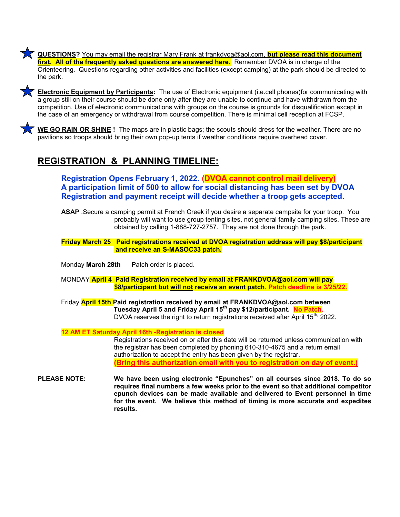QUESTIONS? You may email the registrar Mary Frank at frankdvoa@aol.com, **but please read this document** first. All of the frequently asked questions are answered here. Remember DVOA is in charge of the Orienteering. Questions regarding other activities and facilities (except camping) at the park should be directed to the park.



Electronic Equipment by Participants: The use of Electronic equipment (i.e.cell phones)for communicating with a group still on their course should be done only after they are unable to continue and have withdrawn from the competition. Use of electronic communications with groups on the course is grounds for disqualification except in the case of an emergency or withdrawal from course competition. There is minimal cell reception at FCSP.

WE GO RAIN OR SHINE ! The maps are in plastic bags; the scouts should dress for the weather. There are no pavilions so troops should bring their own pop-up tents if weather conditions require overhead cover.

## REGISTRATION & PLANNING TIMELINE:

Registration Opens February 1, 2022. (DVOA cannot control mail delivery) A participation limit of 500 to allow for social distancing has been set by DVOA Registration and payment receipt will decide whether a troop gets accepted.

ASAP .Secure a camping permit at French Creek if you desire a separate campsite for your troop. You probably will want to use group tenting sites, not general family camping sites. These are obtained by calling 1-888-727-2757. They are not done through the park.

 Friday March 25 Paid registrations received at DVOA registration address will pay \$8/participant and receive an S-MASOC33 patch.

Monday **March 28th** Patch order is placed.

MONDAY April 4 Paid Registration received by email at FRANKDVOA@aol.com will pay \$8/participant but will not receive an event patch. Patch deadline is 3/25/22.

Friday **April 15th Paid registration received by email at FRANKDVOA@aol.com between** Tuesday April 5 and Friday April 15<sup>th</sup> pay \$12/participant. No Patch. DVOA reserves the right to return registrations received after April 15<sup>th,</sup> 2022.

12 AM ET Saturday April 16th -Registration is closed

 Registrations received on or after this date will be returned unless communication with the registrar has been completed by phoning 610-310-4675 and a return email authorization to accept the entry has been given by the registrar. (Bring this authorization email with you to registration on day of event.)

PLEASE NOTE: We have been using electronic "Epunches" on all courses since 2018. To do so requires final numbers a few weeks prior to the event so that additional competitor epunch devices can be made available and delivered to Event personnel in time for the event. We believe this method of timing is more accurate and expedites results.